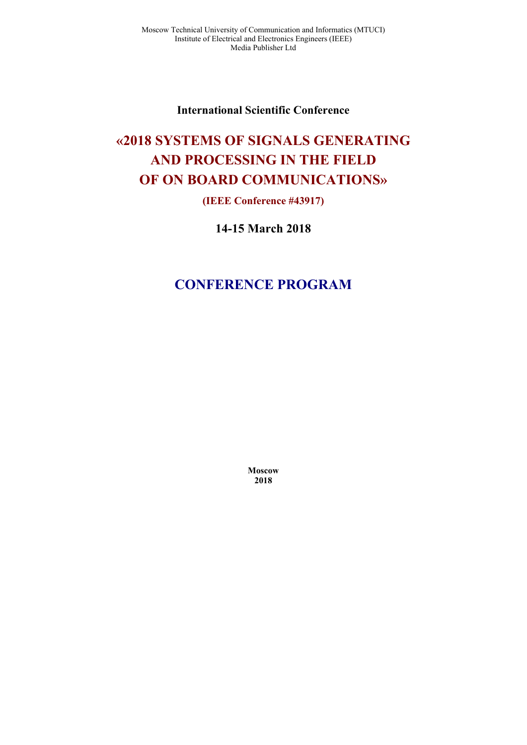**International Scientific Conference** 

# **«2018 SYSTEMS OF SIGNALS GENERATING AND PROCESSING IN THE FIELD OF ON BOARD COMMUNICATIONS»**

## **(IEEE Conference #43917)**

**14-15 March 2018** 

# **CONFERENCE PROGRAM**

**Moscow 2018**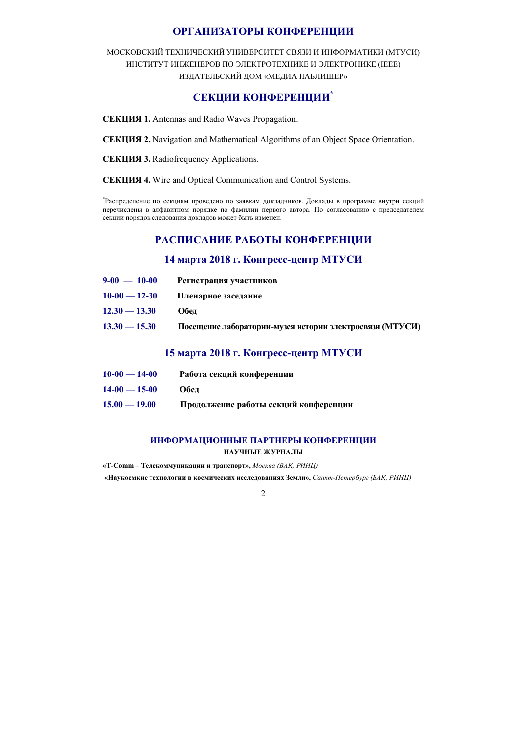## **ОРГАНИЗАТОРЫ КОНФЕРЕНЦИИ**

МОСКОВСКИЙ ТЕХНИЧЕСКИЙ УНИВЕРСИТЕТ СВЯЗИ И ИНФОРМАТИКИ (МТУСИ) ИНСТИТУТ ИНЖЕНЕРОВ ПО ЭЛЕКТРОТЕХНИКЕ И ЭЛЕКТРОНИКЕ (IEEE) ИЗДАТЕЛЬСКИЙ ДОМ «МЕДИА ПАБЛИШЕР»

## **СЕКЦИИ КОНФЕРЕНЦИИ\***

**СЕКЦИЯ 1.** Antennas and Radio Waves Propagation.

**СЕКЦИЯ 2.** Navigation and Mathematical Algorithms of an Object Space Orientation.

**СЕКЦИЯ 3.** Radiofrequency Applications.

**СЕКЦИЯ 4.** Wire and Optical Communication and Control Systems.

\* Распределение по секциям проведено по заявкам докладчиков. Доклады в программе внутри секций перечислены в алфавитном порядке по фамилии первого автора. По согласованию с председателем секции порядок следования докладов может быть изменен.

## **РАСПИСАНИЕ РАБОТЫ КОНФЕРЕНЦИИ**

## **14 марта 2018 г. Конгресс-центр МТУСИ**

| $9-00 - 10-00$  | Регистрация участников                                   |
|-----------------|----------------------------------------------------------|
| $10-00 - 12-30$ | Пленарное заседание                                      |
| $12.30 - 13.30$ | Обел                                                     |
| $13.30 - 15.30$ | Посещение лаборатории-музея истории электросвязи (МТУСИ) |

## **15 марта 2018 г. Конгресс-центр МТУСИ**

| $10-00 - 14-00$ | Работа секций конференции             |
|-----------------|---------------------------------------|
| $14-00 - 15-00$ | Обел                                  |
| $15.00 - 19.00$ | Продолжение работы секций конференции |

## **ИНФОРМАЦИОННЫЕ ПАРТНЕРЫ КОНФЕРЕНЦИИ**

**НАУЧНЫЕ ЖУРНАЛЫ**

**«T-Comm – Телекоммуникации и транспорт»,** *Москва (ВАК, РИНЦ)* 

 **«Наукоемкие технологии в космических исследованиях Земли»,** *Санкт-Петербург (ВАК, РИНЦ)*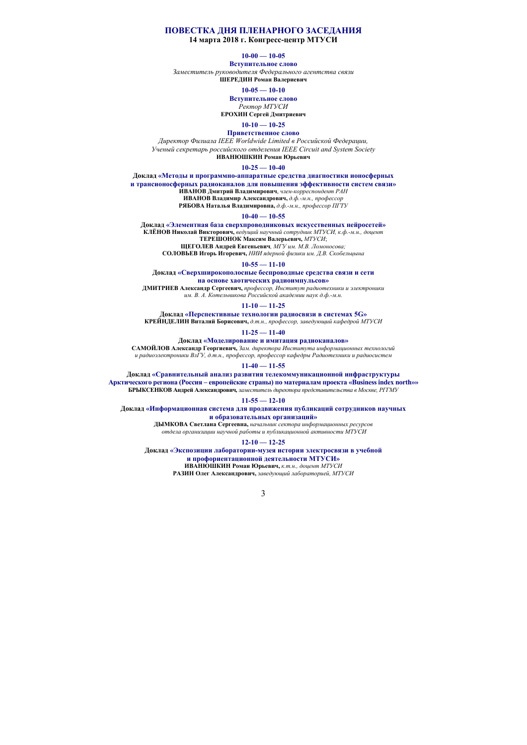#### **ПОВЕСТКА ДНЯ ПЛЕНАРНОГО ЗАСЕДАНИЯ**

**14 марта 2018 г. Конгресс-центр МТУСИ**

#### **10-00 — 10-05**

**Вступительное слово**

*Заместитель руководителя Федерального агентства связи* **ШЕРЕДИН Роман Валериевич**

#### **10-05 — 10-10**

**Вступительное слово**

*Ректор МТУСИ* **ЕРОХИН Сергей Дмитриевич**

#### **10-10 — 10-25**

**Приветственное слово**

*Директор Филиала IEEE Worldwide Limited в Российской Федерации, Ученый секретарь российского отделения IEEE Circuit and System Society* 

**ИВАНЮШКИН Роман Юрьевич**

**10-25 — 10-40** 

**Доклад «Методы и программно-аппаратные средства диагностики ионосферных**

**и трансионосферных радиоканалов для повышения эффективности систем связи» ИВАНОВ Дмитрий Владимирович**, *член-корреспондент РАН*

**ИВАНОВ Владимир Александрович,** *д.ф.-м.н., профессор*

**РЯБОВА Наталья Владимировна,** *д.ф.-м.н., профессор ПГТУ*

#### **10-40 — 10-55**

**Доклад «Элементная база сверхпроводниковых искусственных нейросетей» КЛЁНОВ Николай Викторович,** *ведущий научный сотрудник МТУСИ, к.ф.-м.н., доцент* **ТЕРЕШОНОК Максим Валерьевич,** *МТУСИ*;

**ЩЕГОЛЕВ Андрей Евгеньевич***, МГУ им. М.В. Ломоносова;* 

**СОЛОВЬЕВ Игорь Игоревич,** *НИИ ядерной физики им. Д.В. Скобельцына*

**10-55 — 11-10** 

**Доклад «Сверхширокополосные беспроводные средства связи и сети** 

**на основе хаотических радиоимпульсов»** 

**ДМИТРИЕВ Александр Сергеевич,** *профессор, Институт радиотехники и электроники им. В. А. Котельникова Российской академии наук д.ф.-м.н.*

#### **11-10 — 11-25**

**Доклад «Перспективные технологии радиосвязи в системах 5G» КРЕЙНДЕЛИН Виталий Борисович,** *д.т.н., профессор, заведующий кафедрой МТУСИ*

**11-25 — 11-40** 

**Доклад «Моделирование и имитация радиоканалов»**

**САМОЙЛОВ Александр Георгиевич,** *Зам. директора Института информационных технологий и радиоэлектроники ВлГУ, д.т.н., профессор, профессор кафедры Радиотехники и радиосистем*

**11-40 — 11-55** 

**Доклад «Сравнительный анализ развития телекоммуникационной инфраструктуры Арктического региона (Россия – европейские страны) по материалам проекта «Business index north»» БРЫКСЕНКОВ Андрей Александрович***, заместитель директора представительства в Москве, РГГМУ*

#### **11-55 — 12-10**

**Доклад «Информационная система для продвижения публикаций сотрудников научных** 

**и образовательных организаций»** 

**ДЫМКОВА Светлана Сергеевна,** *начальник сектора информационных ресурсов отдела организации научной работы и публикационной активности МТУСИ*

#### **12-10 — 12-25**

**Доклад «Экспозиции лаборатории-музея истории электросвязи в учебной и профориентационной деятельности МТУСИ» ИВАНЮШКИН Роман Юрьевич,** *к.т.н., доцент МТУСИ*

**РАЗИН Олег Александрович,** *заведующий лабораторией, МТУСИ*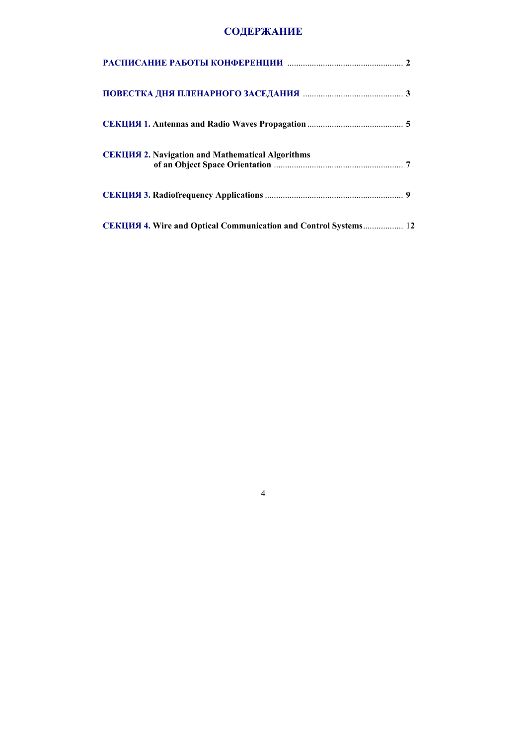## **СОДЕРЖАНИЕ**

| <b>СЕКЦИЯ 2. Navigation and Mathematical Algorithms</b>         |  |
|-----------------------------------------------------------------|--|
|                                                                 |  |
| CEKIUM 4. Wire and Optical Communication and Control Systems 12 |  |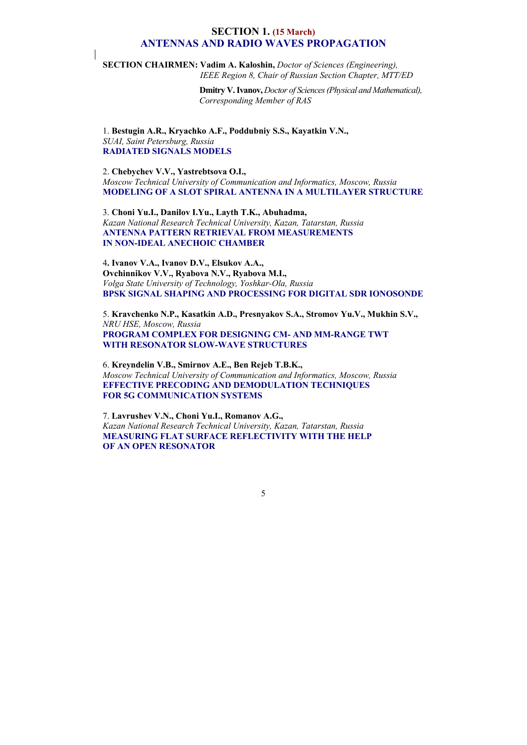## **SECTION 1. (15 March) ANTENNAS AND RADIO WAVES PROPAGATION**

**SECTION CHAIRMEN: Vadim A. Kaloshin,** *Doctor of Sciences (Engineering), IEEE Region 8, Chair of Russian Section Chapter, MTT/ED* 

> **Dmitry V. Ivanov,** *Doctor of Sciences (Physical and Mathematical), Corresponding Member of RAS*

1. **Bestugin A.R., Kryachko A.F., Poddubniy S.S., Kayatkin V.N.,**  *SUAI, Saint Petersburg, Russia*  **RADIATED SIGNALS MODELS** 

## 2. **Chebychev V.V., Yastrebtsova O.I.,**

*Moscow Technical University of Communication and Informatics , Moscow, Russia*  **MODELING OF A SLOT SPIRAL ANTENNA IN A MULTILAYER STRUCTURE** 

3. **Choni Yu.I., Danilov I.Yu., Layth T.K., Abuhadma,**  *Kazan National Research Technical University, Kazan, Tatarstan, Russia*  **ANTENNA PATTERN RETRIEVAL FROM MEASUREMENTS IN NON-IDEAL ANECHOIC CHAMBER** 

4**. Ivanov V.A., Ivanov D.V., Elsukov A.A., Ovchinnikov V.V., Ryabova N.V., Ryabova M.I.,**  *Volga State University of Technology, Yoshkar-Ola, Russia*  **BPSK SIGNAL SHAPING AND PROCESSING FOR DIGITAL SDR IONOSONDE** 

5. **Kravchenko N.P., Kasatkin A.D., Presnyakov S.A., Stromov Yu.V., Mukhin S.V.,** *NRU HSE, Moscow, Russia*  **PROGRAM COMPLEX FOR DESIGNING CM- AND MM-RANGE TWT WITH RESONATOR SLOW-WAVE STRUCTURES** 

6. **Kreyndelin V.B., Smirnov A.E., Ben Rejeb T.B.K.,**  *Moscow Technical University of Communication and Informatics , Moscow, Russia*  **EFFECTIVE PRECODING AND DEMODULATION TECHNIQUES FOR 5G COMMUNICATION SYSTEMS** 

7. **Lаvrushev V.N., Choni Yu.I., Romanov A.G.,** *Kazan National Research Technical University, Kazan, Tatarstan, Russia*  **MEASURING FLAT SURFACE REFLECTIVITY WITH THE HELP OF AN OPEN RESONATOR**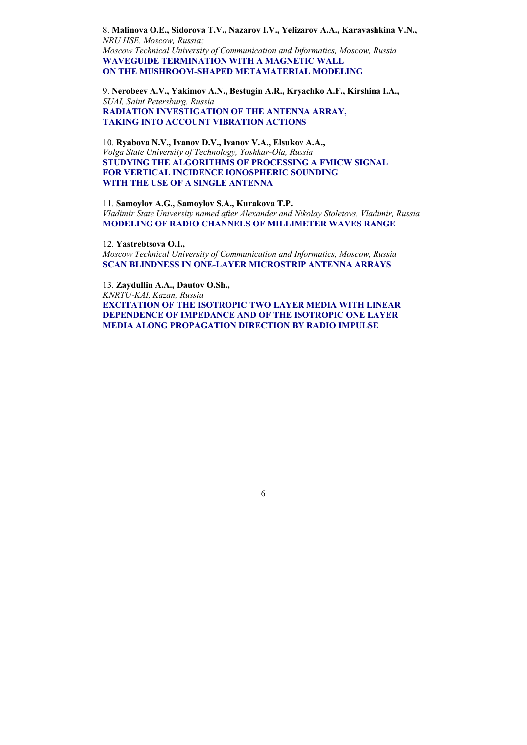8. **Malinova O.E., Sidorova T.V., Nazarov I.V., Yelizarov A.A., Karavashkina V.N.,**  *NRU HSE, Moscow, Russia; Moscow Technical University of Communication and Informatics , Moscow, Russia* **WAVEGUIDE TERMINATION WITH A MAGNETIC WALL ON THE MUSHROOM-SHAPED METAMATERIAL MODELING** 

9. **Nerobeev A.V., Yakimov A.N., Bestugin A.R., Kryachko A.F., Kirshina I.A.,**  *SUAI, Saint Petersburg, Russia*  **RADIATION INVESTIGATION OF THE ANTENNA ARRAY, TAKING INTO ACCOUNT VIBRATION ACTIONS** 

10. **Ryabova N.V., Ivanov D.V., Ivanov V.A., Elsukov A.A.,**  *Volga State University of Technology, Yoshkar-Ola, Russia*  **STUDYING THE ALGORITHMS OF PROCESSING A FMICW SIGNAL FOR VERTICAL INCIDENCE IONOSPHERIC SOUNDING WITH THE USE OF A SINGLE ANTENNA** 

11. **Samoylov A.G., Samoylov S.A., Kurakova T.P.** *Vladimir State University named after Alexander and Nikolay Stoletovs, Vladimir, Russia*  **MODELING OF RADIO CHANNELS OF MILLIMETER WAVES RANGE** 

12. **Yastrebtsova O.I. ,** *Moscow Technical University of Communication and Informatics , Moscow, Russia*  **SCAN BLINDNESS IN ONE-LAYER MICROSTRIP ANTENNA ARRAYS** 

13. **Zaydullin A.A., Dautov O.Sh.,**  *KNRTU-KAI, Kazan, Russia*  **EXCITATION OF THE ISOTROPIC TWO LAYER MEDIA WITH LINEAR DEPENDENCE OF IMPEDANCE AND OF THE ISOTROPIC ONE LAYER MEDIA ALONG PROPAGATION DIRECTION BY RADIO IMPULSE**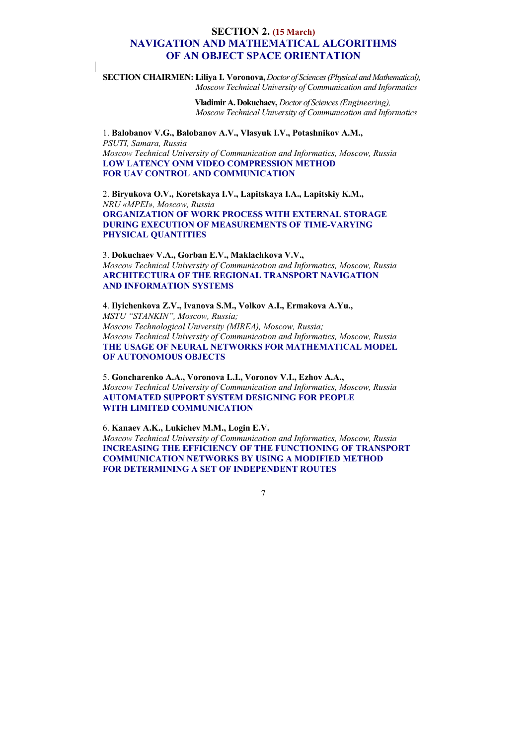## **SECTION 2. (15 March) NAVIGATION AND MATHEMATICAL ALGORITHMS OF AN OBJECT SPACE ORIENTATION**

**SECTION CHAIRMEN: Liliya I. Voronova,** *Doctor of Sciences (Physical and Mathematical), Moscow Technical University of Communication and Informatics* 

> **Vladimir A. Dokuchaev,** *Doctor of Sciences (Engineering), Moscow Technical University of Communication and Informatics*

1. **Balobanov V.G., Balobanov A.V., Vlasyuk I.V., Potashnikov A.M.,**  *PSUTI, Samara, Russia Moscow Technical University of Communication and Informatics , Moscow, Russia*  **LOW LATENCY ONM VIDEO COMPRESSION METHOD FOR UAV CONTROL AND COMMUNICATION** 

2. **Biryukova O.V., Koretskaya I.V., Lapitskaya I.A., Lapitskiy K.M.,**  *NRU «MPEI», Moscow, Russia* **ORGANIZATION OF WORK PROCESS WITH EXTERNAL STORAGE DURING EXECUTION OF MEASUREMENTS OF TIME-VARYING PHYSICAL QUANTITIES** 

3. **Dokuchaev V.A., Gorban E.V., Maklachkova V.V.,**  *Moscow Technical University of Communication and Informatics , Moscow, Russia*  **ARCHITECTURA OF THE REGIONAL TRANSPORT NAVIGATION AND INFORMATION SYSTEMS** 

4. **Ilyichenkova Z.V., Ivanova S.M., Volkov A.I., Ermakova A.Yu.,**  *MSTU "STANKIN", Moscow, Russia; Moscow Technological University (MIREA), Moscow, Russia; Moscow Technical University of Communication and Informatics , Moscow, Russia* **THE USAGE OF NEURAL NETWORKS FOR MATHEMATICAL MODEL OF AUTONOMOUS OBJECTS**

5. **Goncharenko A.A., Voronova L.I., Voronov V.I., Ezhov A.A.,**  *Moscow Technical University of Communication and Informatics , Moscow, Russia*  **AUTOMATED SUPPORT SYSTEM DESIGNING FOR PEOPLE WITH LIMITED COMMUNICATION** 

6. **Kanaev A.K., Lukichev M.M., Login E.V.** *Moscow Technical University of Communication and Informatics , Moscow, Russia*  **INCREASING THE EFFICIENCY OF THE FUNCTIONING OF TRANSPORT COMMUNICATION NETWORKS BY USING A MODIFIED METHOD FOR DETERMINING A SET OF INDEPENDENT ROUTES**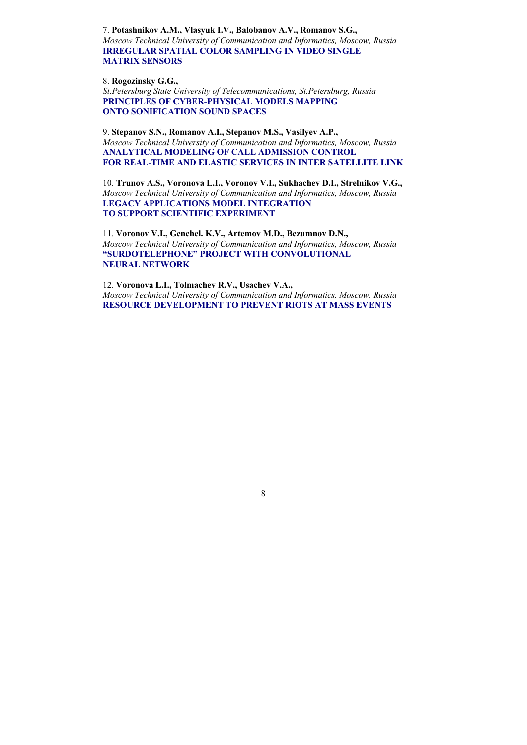7. **Potashnikov A.M., Vlasyuk I.V., Balobanov A.V., Romanov S.G.,**  *Moscow Technical University of Communication and Informatics , Moscow, Russia*  **IRREGULAR SPATIAL COLOR SAMPLING IN VIDEO SINGLE MATRIX SENSORS** 

8. **Rogozinsky G.G.,** 

*St.Petersburg State University of Telecommunications, St.Petersburg, Russia*  **PRINCIPLES OF CYBER-PHYSICAL MODELS MAPPING ONTO SONIFICATION SOUND SPACES** 

9. **Stepanov S.N., Romanov A.I., Stepanov M.S., Vasilyev A.P.,**  *Moscow Technical University of Communication and Informatics , Moscow, Russia*  **ANALYTICAL MODELING OF CALL ADMISSION CONTROL FOR REAL-TIME AND ELASTIC SERVICES IN INTER SATELLITE LINK** 

10. **Trunov A.S., Voronova L.I., Voronov V.I., Sukhachev D.I., Strelnikov V.G.,**  *Moscow Technical University of Communication and Informatics , Moscow, Russia* **LEGACY APPLICATIONS MODEL INTEGRATION TO SUPPORT SCIENTIFIC EXPERIMENT**

11. **Voronov V.I., Genchel. K.V., Artemov M.D., Bezumnov D.N.,**  *Moscow Technical University of Communication and Informatics , Moscow, Russia*  **"SURDOTELEPHONE" PROJECT WITH CONVOLUTIONAL NEURAL NETWORK** 

12. **Voronova L.I., Tolmachev R.V., Usachev V.A.,**  *Moscow Technical University of Communication and Informatics , Moscow, Russia*  **RESOURCE DEVELOPMENT TO PREVENT RIOTS AT MASS EVENTS**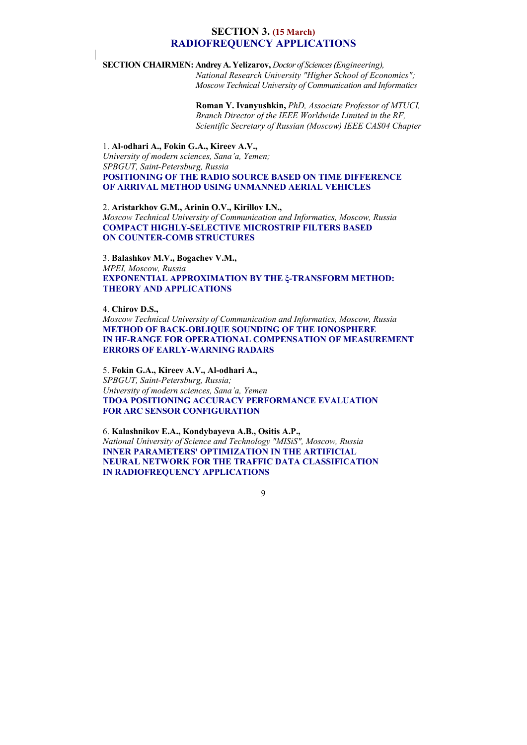## **SECTION 3. (15 March) RADIOFREQUENCY APPLICATIONS**

**SECTION CHAIRMEN: Andrey A. Yelizarov,** *Doctor of Sciences (Engineering),* 

 *National Research University "Higher School of Economics"; Moscow Technical University of Communication and Informatics* 

 **Roman Y. Ivanyushkin,** *PhD, Associate Professor of MTUCI,*  *Branch Director of the IEEE Worldwide Limited in the RF, Scientific Secretary of Russian (Moscow) IEEE CAS04 Chapter* 

1. **Al-odhari A., Fokin G.A., Kireev A.V.,**  *University of modern sciences, Sana'a, Yemen; SPBGUT, Saint-Petersburg, Russia*  **POSITIONING OF THE RADIO SOURCE BASED ON TIME DIFFERENCE OF ARRIVAL METHOD USING UNMANNED AERIAL VEHICLES** 

2. **Aristarkhov G.M., Arinin O.V., Kirillov I.N.,**  *Moscow Technical University of Communication and Informatics , Moscow, Russia* **COMPACT HIGHLY-SELECTIVE MICROSTRIP FILTERS BASED ON COUNTER-COMB STRUCTURES** 

3. **Balashkov M.V., Bogachev V.M.,**  *MPEI, Moscow, Russia*  **EXPONENTIAL APPROXIMATION BY THE ξ-TRANSFORM METHOD: THEORY AND APPLICATIONS** 

4. **Chirov D.S.,** 

*Moscow Technical University of Communication and Informatics , Moscow, Russia* **METHOD OF BACK-OBLIQUE SOUNDING OF THE IONOSPHERE IN HF-RANGE FOR OPERATIONAL COMPENSATION OF MEASUREMENT ERRORS OF EARLY-WARNING RADARS** 

5. **Fokin G.A., Kireev A.V., Al-odhari A.,** *SPBGUT, Saint-Petersburg, Russia; University of modern sciences, Sana'a, Yemen*  **TDOA POSITIONING ACCURACY PERFORMANCE EVALUATION FOR ARC SENSOR CONFIGURATION** 

6. **Kalashnikov E.A., Kondybayeva A.B., Ositis A.P.,** *National University of Science and Technology "MISiS", Moscow, Russia*  **INNER PARAMETERS' OPTIMIZATION IN THE ARTIFICIAL NEURAL NETWORK FOR THE TRAFFIC DATA CLASSIFICATION IN RADIOFREQUENCY APPLICATIONS**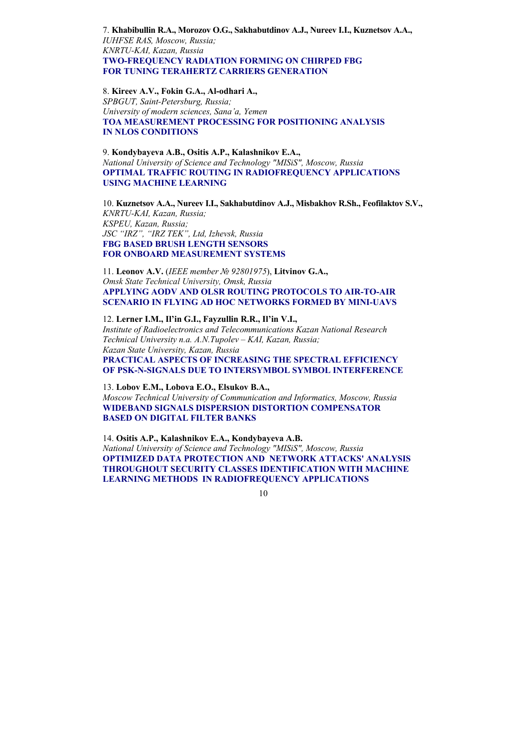7. **Khabibullin R.A., Morozov O.G., Sakhabutdinov A.J., Nureev I.I., Kuznetsov A.A.,** *IUHFSE RAS, Moscow, Russia; KNRTU-KAI, Kazan, Russia*  **TWO-FREQUENCY RADIATION FORMING ON CHIRPED FBG FOR TUNING TERAHERTZ CARRIERS GENERATION** 

8. **Kireev A.V., Fokin G.A., Al-odhari A.,** 

*SPBGUT, Saint-Petersburg, Russia; University of modern sciences, Sana'a, Yemen*  **TOA MEASUREMENT PROCESSING FOR POSITIONING ANALYSIS IN NLOS CONDITIONS** 

9. **Kondybayeva A.B., Ositis A.P., Kalashnikov E.A.,**  *National University of Science and Technology "MISiS", Moscow, Russia*  **OPTIMAL TRAFFIC ROUTING IN RADIOFREQUENCY APPLICATIONS USING MACHINE LEARNING** 

10. **Kuznetsov A.A., Nureev I.I., Sakhabutdinov A.J., Misbakhov R.Sh., Feofilaktov S.V.,** *KNRTU-KAI, Kazan, Russia; KSPEU, Kazan, Russia; JSC "IRZ", "IRZ TEK", Ltd, Izhevsk, Russia*  **FBG BASED BRUSH LENGTH SENSORS FOR ONBOARD MEASUREMENT SYSTEMS** 

11. **Leonov A.V.** (*IEEE member № 92801975*), **Litvinov G.A. ,** *Omsk State Technical University, Omsk, Russia*  **APPLYING AODV AND OLSR ROUTING PROTOCOLS TO AIR-TO-AIR SCENARIO IN FLYING AD HOC NETWORKS FORMED BY MINI-UAVS** 

12. **Lerner I.M., Il'in G.I., Fayzullin R.R., Il'in V.I.,**  *Institute of Radioelectronics and Telecommunications Kazan National Research Technical University n.a. A.N.Tupolev – KAI, Kazan, Russia; Каzan State University, Kazan, Russia*  **PRACTICAL ASPECTS OF INCREASING THE SPECTRAL EFFICIENCY OF PSK-N-SIGNALS DUE TO INTERSYMBOL SYMBOL INTERFERENCE** 

13. **Lobov E.M., Lobova E.O., Elsukov B.A.,**  *Moscow Technical University of Communication and Informatics , Moscow, Russia*  **WIDEBAND SIGNALS DISPERSION DISTORTION COMPENSATOR BASED ON DIGITAL FILTER BANKS** 

14. **Ositis A.P., Kalashnikov E.A., Kondybayeva A.B.** *National University of Science and Technology "MISiS", Moscow, Russia*  **OPTIMIZED DATA PROTECTION AND NETWORK ATTACKS' ANALYSIS THROUGHOUT SECURITY CLASSES IDENTIFICATION WITH MACHINE LEARNING METHODS IN RADIOFREQUENCY APPLICATIONS**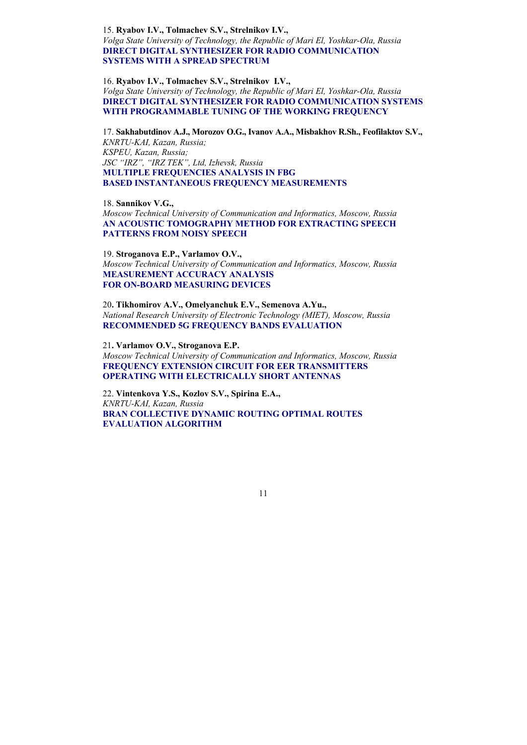15. **Ryabov I.V., Tolmachev S.V., Strelnikov I.V.,** *Volga State University of Technology, the Republic of Mari El, Yoshkar-Ola, Russia*  **DIRECT DIGITAL SYNTHESIZER FOR RADIO COMMUNICATION SYSTEMS WITH A SPREAD SPECTRUM** 

16. **Ryabov I.V., Tolmachev S.V., Strelnikov I.V.,**  *Volga State University of Technology, the Republic of Mari El, Yoshkar-Ola, Russia*  **DIRECT DIGITAL SYNTHESIZER FOR RADIO COMMUNICATION SYSTEMS WITH PROGRAMMABLE TUNING OF THE WORKING FREQUENCY** 

17. **Sakhabutdinov A.J., Morozov O.G., Ivanov A.A., Misbakhov R.Sh., Feofilaktov S.V.,** *KNRTU-KAI, Kazan, Russia; KSPEU, Kazan, Russia; JSC "IRZ", "IRZ TEK", Ltd, Izhevsk, Russia*  **MULTIPLE FREQUENCIES ANALYSIS IN FBG BASED INSTANTANEOUS FREQUENCY MEASUREMENTS** 

18. **Sannikov V.G.,**  *Moscow Technical University of Communication and Informatics , Moscow, Russia*  **AN ACOUSTIC TOMOGRAPHY METHOD FOR EXTRACTING SPEECH PATTERNS FROM NOISY SPEECH** 

19. **Stroganova E.P., Varlamov O.V. ,** *Moscow Technical University of Communication and Informatics , Moscow, Russia*  **MEASUREMENT ACCURACY ANALYSIS FOR ON-BOARD MEASURING DEVICES** 

20**. Tikhomirov A.V., Omelyanchuk E.V., Semenova A.Yu.,**  *National Research University of Electronic Technology (MIET), Moscow, Russia*  **RECOMMENDED 5G FREQUENCY BANDS EVALUATION** 

21**. Varlamov O.V., Stroganova E.P.**  *Moscow Technical University of Communication and Informatics , Moscow, Russia* **FREQUENCY EXTENSION CIRCUIT FOR EER TRANSMITTERS OPERATING WITH ELECTRICALLY SHORT ANTENNAS** 

22. **Vintenkova Y.S., Kozlov S.V., Spirina E.A.,**  *KNRTU-KAI, Kazan, Russia*  **BRAN COLLECTIVE DYNAMIC ROUTING OPTIMAL ROUTES EVALUATION ALGORITHM**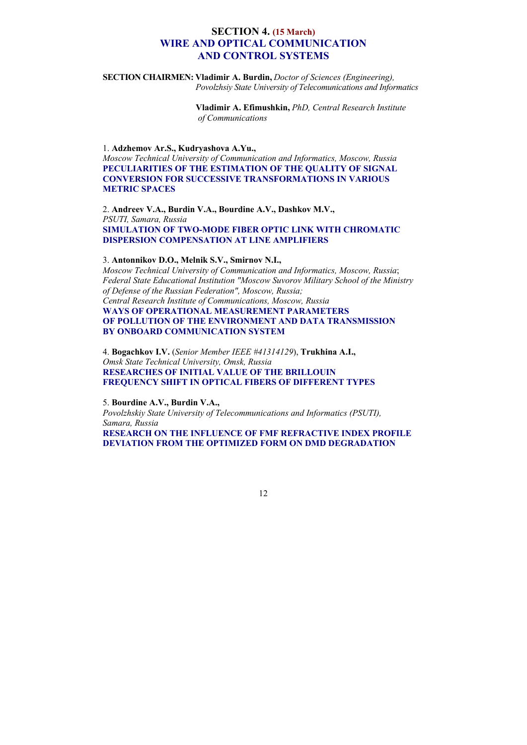## **SECTION 4. (15 March) WIRE AND OPTICAL COMMUNICATION AND CONTROL SYSTEMS**

**SECTION CHAIRMEN: Vladimir A. Burdin,** *Doctor of Sciences (Engineering), Povolzhsiy State University of Telecomunications and Informatics* 

> **Vladimir A. Efimushkin,** *PhD, Central Research Institute of Communications*

1. **Adzhemov Ar.S., Kudryashova A.Yu.,** 

*Moscow Technical University of Communication and Informatics , Moscow, Russia* **PECULIARITIES OF THE ESTIMATION OF THE QUALITY OF SIGNAL CONVERSION FOR SUCCESSIVE TRANSFORMATIONS IN VARIOUS METRIC SPACES** 

2. **Andreev V.A., Burdin V.A., Bourdine A.V., Dashkov M.V.,**  *PSUTI, Samara, Russia*  **SIMULATION OF TWO-MODE FIBER OPTIC LINK WITH CHROMATIC DISPERSION COMPENSATION AT LINE AMPLIFIERS** 

### 3. **Antonnikov D.O., Melnik S.V., Smirnov N.I.,**

*Moscow Technical University of Communication and Informatics , Moscow, Russia*; *Federal State Educational Institution "Moscow Suvorov Military School of the Ministry of Defense of the Russian Federation", Moscow, Russia; Central Research Institute of Communications, Moscow, Russia*  **WAYS OF OPERATIONAL MEASUREMENT PARAMETERS OF POLLUTION OF THE ENVIRONMENT AND DATA TRANSMISSION BY ONBOARD COMMUNICATION SYSTEM** 

4. **Bogachkov I.V.** (*Senior Member IEEE #41314129*), **Trukhina A.I.,**  *Omsk State Technical University, Omsk, Russia*  **RESEARCHES OF INITIAL VALUE OF THE BRILLOUIN FREQUENCY SHIFT IN OPTICAL FIBERS OF DIFFERENT TYPES** 

5. **Bourdine A.V., Burdin V.A.,**

*Povolzhskiy State University of Telecommunications and Informatics (PSUTI), Samara, Russia* 

**RESEARCH ON THE INFLUENCE OF FMF REFRACTIVE INDEX PROFILE DEVIATION FROM THE OPTIMIZED FORM ON DMD DEGRADATION**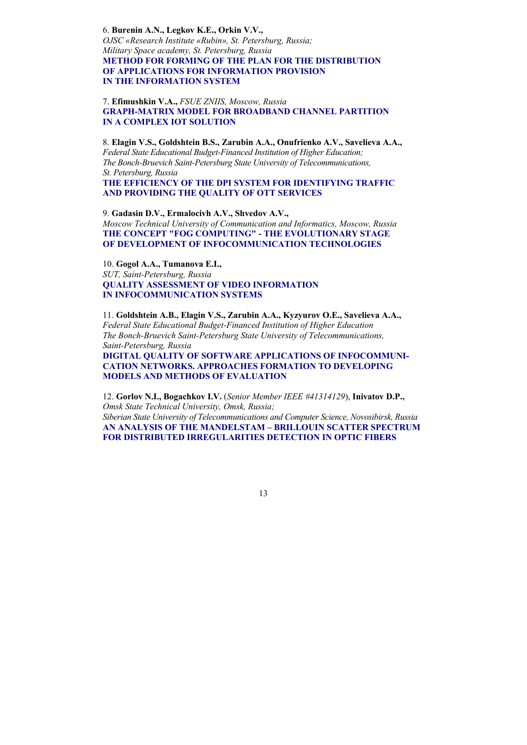6. **Burenin A.N., Legkov K.E., Orkin V.V.,** *OJSC «Research Institute «Rubin», St. Petersburg, Russia; Military Space academy, St. Petersburg, Russia*  **METHOD FOR FORMING OF THE PLAN FOR THE DISTRIBUTION OF APPLICATIONS FOR INFORMATION PROVISION IN THE INFORMATION SYSTEM** 

7. **Efimushkin V.A.,** *FSUE ZNIIS, Moscow, Russia*  **GRAPH-MATRIX MODEL FOR BROADBAND CHANNEL PARTITION IN A COMPLEX IOT SOLUTION** 

8. **Elagin V.S., Goldshtein B.S., Zarubin A.A., Onufrienko A.V., Savelieva A.A.,**  *Federal State Educational Budget-Financed Institution of Higher Education; The Bonch-Bruevich Saint-Petersburg State University of Telecommunications, St. Petersburg, Russia* 

**THE EFFICIENCY OF THE DPI SYSTEM FOR IDENTIFYING TRAFFIC AND PROVIDING THE QUALITY OF OTT SERVICES** 

9. **Gadasin D.V., Ermalocivh A.V., Shvedov A.V.,**  *Moscow Technical University of Communication and Informatics , Moscow, Russia* **THE CONCEPT "FOG COMPUTING" - THE EVOLUTIONARY STAGE OF DEVELOPMENT OF INFOCOMMUNICATION TECHNOLOGIES** 

10. **Gogol A.A., Tumanova E.I.,**  *SUT, Saint-Petersburg, Russia*  **QUALITY ASSESSMENT OF VIDEO INFORMATION IN INFOCOMMUNICATION SYSTEMS** 

11. **Goldshtein A.B., Elagin V.S., Zarubin A.A., Kyzyurov O.E., Savelieva A.A.,**  *Federal State Educational Budget-Financed Institution of Higher Education The Bonch-Bruevich Saint-Petersburg State University of Telecommunications, Saint-Petersburg, Russia*  **DIGITAL QUALITY OF SOFTWARE APPLICATIONS OF INFOCOMMUNI-CATION NETWORKS. APPROACHES FORMATION TO DEVELOPING MODELS AND METHODS OF EVALUATION** 

12. **Gorlov N.I., Bogachkov I.V.** (*Senior Member IEEE #41314129*), **Inivatov D.P. ,**  *Omsk State Technical University, Omsk, Russia; Siberian State University of Telecommunications and Computer Science, Novosibirsk, Russia*  **AN ANALYSIS OF THE MANDELSTAM – BRILLOUIN SCATTER SPECTRUM FOR DISTRIBUTED IRREGULARITIES DETECTION IN OPTIC FIBERS**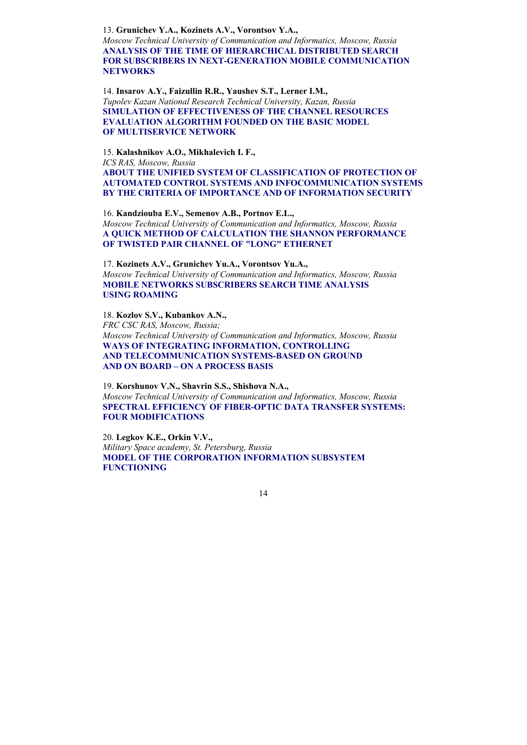13. **Grunichev Y.A., Kozinets A.V., Vorontsov Y.A. ,** 

*Moscow Technical University of Communication and Informatics , Moscow, Russia*  **ANALYSIS OF THE TIME OF HIERARCHICAL DISTRIBUTED SEARCH FOR SUBSCRIBERS IN NEXT-GENERATION MOBILE COMMUNICATION NETWORKS** 

14. **Insarov A.Y., Faizullin R.R., Yaushev S.T., Lerner I.M.,**  *Tupolev Kazan National Research Technical University, Kazan, Russia*  **SIMULATION OF EFFECTIVENESS OF THE CHANNEL RESOURCES EVALUATION ALGORITHM FOUNDED ON THE BASIC MODEL OF MULTISERVICE NETWORK** 

15. **Kalashnikov A.O., Mikhalevich I. F.,** *ICS RAS, Moscow, Russia*  **ABOUT THE UNIFIED SYSTEM OF CLASSIFICATION OF PROTECTION OF AUTOMATED CONTROL SYSTEMS AND INFOCOMMUNICATION SYSTEMS BY THE CRITERIA OF IMPORTANCE AND OF INFORMATION SECURITY** 

16. **Kandziouba E.V., Semenov A.B., Portnov E.L.,**  *Moscow Technical University of Communication and Informatics , Moscow, Russia* **A QUICK METHOD OF CALCULATION THE SHANNON PERFORMANCE OF TWISTED PAIR CHANNEL OF "LONG" ETHERNET** 

17. **Kozinets A.V., Grunichev Yu.A., Vorontsov Yu.A. ,** *Moscow Technical University of Communication and Informatics , Moscow, Russia*  **MOBILE NETWORKS SUBSCRIBERS SEARCH TIME ANALYSIS USING ROAMING** 

18. **Kozlov S.V., Kubankov A.N.,** *FRC CSC RAS, Moscow, Russia; Moscow Technical University of Communication and Informatics , Moscow, Russia* **WAYS OF INTEGRATING INFORMATION, CONTROLLING AND TELECOMMUNICATION SYSTEMS-BASED ON GROUND AND ON BOARD – ON A PROCESS BASIS** 

19. **Korshunov V.N., Shavrin S.S., Shishova N.A.,** *Moscow Technical University of Communication and Informatics , Moscow, Russia* **SPECTRAL EFFICIENCY OF FIBER-OPTIC DATA TRANSFER SYSTEMS: FOUR MODIFICATIONS** 

20. **Legkov K.E., Orkin V.V.,** *Military Space academy, St. Petersburg, Russia*  **MODEL OF THE CORPORATION INFORMATION SUBSYSTEM FUNCTIONING**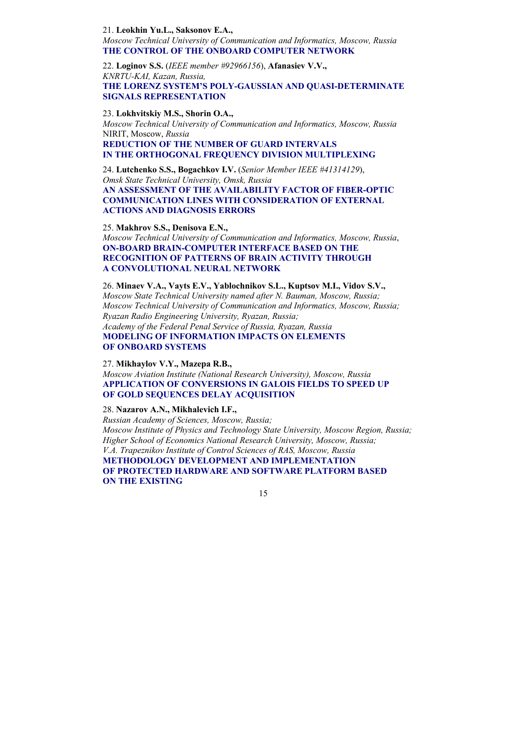#### 21. **Leokhin Yu.L., Saksonov E.A.,**

*Moscow Technical University of Communication and Informatics , Moscow, Russia* **THE CONTROL OF THE ONBOARD COMPUTER NETWORK** 

22. **Loginov S.S.** (*IEEE member #92966156*), **Afanasiev V.V.,**  *KNRTU-KAI, Kazan, Russia,*  **THE LORENZ SYSTEM'S POLY-GAUSSIAN AND QUASI-DETERMINATE SIGNALS REPRESENTATION**

#### 23. **Lokhvitskiy M.S., Shorin O.A.,**

*Moscow Technical University of Communication and Informatics , Moscow, Russia* NIRIT, Moscow, *Russia*

**REDUCTION OF THE NUMBER OF GUARD INTERVALS IN THE ORTHOGONAL FREQUENCY DIVISION MULTIPLEXING** 

24. **Lutchenko S.S., Bogachkov I.V.** (*Senior Member IEEE #41314129*), *Omsk State Technical University, Omsk, Russia*  **AN ASSESSMENT OF THE AVAILABILITY FACTOR OF FIBER-OPTIC COMMUNICATION LINES WITH CONSIDERATION OF EXTERNAL ACTIONS AND DIAGNOSIS ERRORS** 

#### 25. **Makhrov S.S., Denisova E.N.,**

*Moscow Technical University of Communication and Informatics , Moscow, Russia*, **ON-BOARD BRAIN-COMPUTER INTERFACE BASED ON THE RECOGNITION OF PATTERNS OF BRAIN ACTIVITY THROUGH A CONVOLUTIONAL NEURAL NETWORK** 

26. **Minaev V.A., Vayts E.V., Yablochnikov S.L., Kuptsov M.I., Vidov S.V.,** *Moscow State Technical University named after N. Bauman, Moscow, Russia; Moscow Technical University of Communication and Informatics , Moscow, Russia; Ryazan Radio Engineering University, Ryazan, Russia; Academy of the Federal Penal Service of Russia, Ryazan, Russia*  **MODELING OF INFORMATION IMPACTS ON ELEMENTS OF ONBOARD SYSTEMS** 

27. **Mikhaylov V.Y., Mazepa R.B.,** 

*Moscow Aviation Institute (National Research University), Moscow, Russia*  **APPLICATION OF CONVERSIONS IN GALOIS FIELDS TO SPEED UP OF GOLD SEQUENCES DELAY ACQUISITION** 

28. **Nazarov A.N., Mikhalevich I.F.,**

*Russian Academy of Sciences, Moscow, Russia; Moscow Institute of Physics and Technology State University, Moscow Region, Russia; Higher School of Economics National Research University, Moscow, Russia; V.A. Trapeznikov Institute of Control Sciences of RAS, Moscow, Russia*  **METHODOLOGY DEVELOPMENT AND IMPLEMENTATION OF PROTECTED HARDWARE AND SOFTWARE PLATFORM BASED ON THE EXISTING**